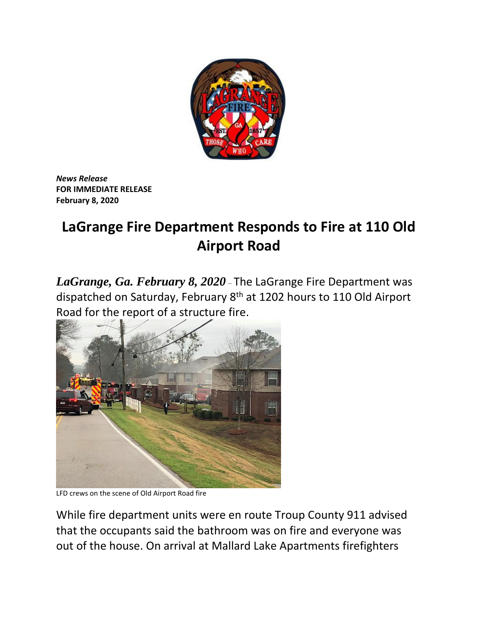

*News Release*  **FOR IMMEDIATE RELEASE February 8, 2020**

## **LaGrange Fire Department Responds to Fire at 110 Old Airport Road**

*LaGrange, Ga. February 8, 2020* – The LaGrange Fire Department was dispatched on Saturday, February 8<sup>th</sup> at 1202 hours to 110 Old Airport Road for the report of a structure fire.



LFD crews on the scene of Old Airport Road fire

While fire department units were en route Troup County 911 advised that the occupants said the bathroom was on fire and everyone was out of the house. On arrival at Mallard Lake Apartments firefighters